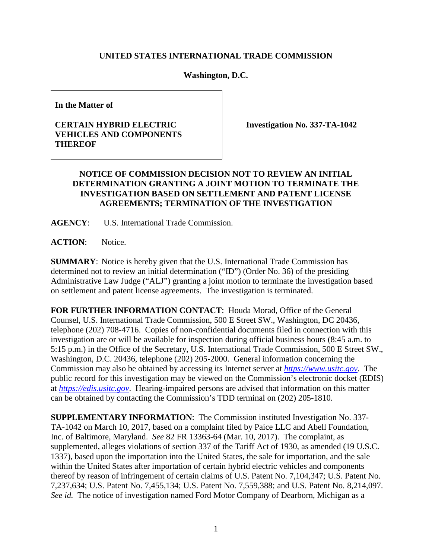## **UNITED STATES INTERNATIONAL TRADE COMMISSION**

**Washington, D.C.** 

**In the Matter of**

## **CERTAIN HYBRID ELECTRIC VEHICLES AND COMPONENTS THEREOF**

**Investigation No. 337-TA-1042**

## **NOTICE OF COMMISSION DECISION NOT TO REVIEW AN INITIAL DETERMINATION GRANTING A JOINT MOTION TO TERMINATE THE INVESTIGATION BASED ON SETTLEMENT AND PATENT LICENSE AGREEMENTS; TERMINATION OF THE INVESTIGATION**

**AGENCY**: U.S. International Trade Commission.

**ACTION**: Notice.

**SUMMARY**: Notice is hereby given that the U.S. International Trade Commission has determined not to review an initial determination ("ID") (Order No. 36) of the presiding Administrative Law Judge ("ALJ") granting a joint motion to terminate the investigation based on settlement and patent license agreements. The investigation is terminated.

**FOR FURTHER INFORMATION CONTACT**: Houda Morad, Office of the General Counsel, U.S. International Trade Commission, 500 E Street SW., Washington, DC 20436, telephone (202) 708-4716. Copies of non-confidential documents filed in connection with this investigation are or will be available for inspection during official business hours (8:45 a.m. to 5:15 p.m.) in the Office of the Secretary, U.S. International Trade Commission, 500 E Street SW., Washington, D.C. 20436, telephone (202) 205-2000. General information concerning the Commission may also be obtained by accessing its Internet server at *[https://www.usitc.gov](https://www.usitc.gov/)*. The public record for this investigation may be viewed on the Commission's electronic docket (EDIS) at *[https://edis.usitc.gov](http://edis.usitc.gov/)*. Hearing-impaired persons are advised that information on this matter can be obtained by contacting the Commission's TDD terminal on (202) 205-1810.

**SUPPLEMENTARY INFORMATION**: The Commission instituted Investigation No. 337- TA-1042 on March 10, 2017, based on a complaint filed by Paice LLC and Abell Foundation, Inc. of Baltimore, Maryland. *See* 82 FR 13363-64 (Mar. 10, 2017). The complaint, as supplemented, alleges violations of section 337 of the Tariff Act of 1930, as amended (19 U.S.C. 1337), based upon the importation into the United States, the sale for importation, and the sale within the United States after importation of certain hybrid electric vehicles and components thereof by reason of infringement of certain claims of U.S. Patent No. 7,104,347; U.S. Patent No. 7,237,634; U.S. Patent No. 7,455,134; U.S. Patent No. 7,559,388; and U.S. Patent No. 8,214,097. *See id.* The notice of investigation named Ford Motor Company of Dearborn, Michigan as a